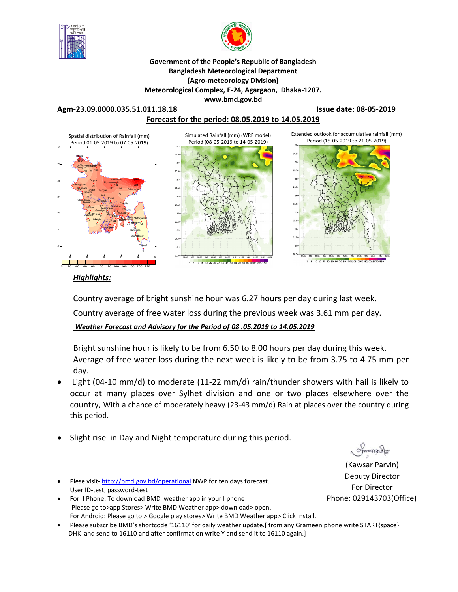



**Government of the People's Republic of Bangladesh Bangladesh Meteorological Department (Agro-meteorology Division) Meteorological Complex, E-24, Agargaon, Dhaka-1207. www.bmd.gov.bd** 

# **Agm-23.09.0000.035.51.011.18.18 Issue date: 08-05-2019 Forecast for the period: 08.05.2019 to 14.05.2019**



### *Highlights:*

Country average of bright sunshine hour was 6.27 hours per day during last week**.**  Country average of free water loss during the previous week was 3.61 mm per day**.**  *Weather Forecast and Advisory for the Period of 08 .05.2019 to 14.05.2019*

Bright sunshine hour is likely to be from 6.50 to 8.00 hours per day during this week. Average of free water loss during the next week is likely to be from 3.75 to 4.75 mm per day.

- Light (04-10 mm/d) to moderate (11-22 mm/d) rain/thunder showers with hail is likely to occur at many places over Sylhet division and one or two places elsewhere over the country, With a chance of moderately heavy (23-43 mm/d) Rain at places over the country during this period.
- Slight rise in Day and Night temperature during this period.
- Plese visit- http://bmd.gov.bd/operational NWP for ten days forecast. User ID-test, password-test
- For I Phone: To download BMD weather app in your I phone Please go to>app Stores> Write BMD Weather app> download> open. For Android: Please go to > Google play stores> Write BMD Weather app> Click Install.
- Please subscribe BMD's shortcode '16110' for daily weather update.[ from any Grameen phone write START{space} DHK and send to 16110 and after confirmation write Y and send it to 16110 again.]

**Plantau** 

(Kawsar Parvin) Deputy Director For Director Phone: 029143703(Office)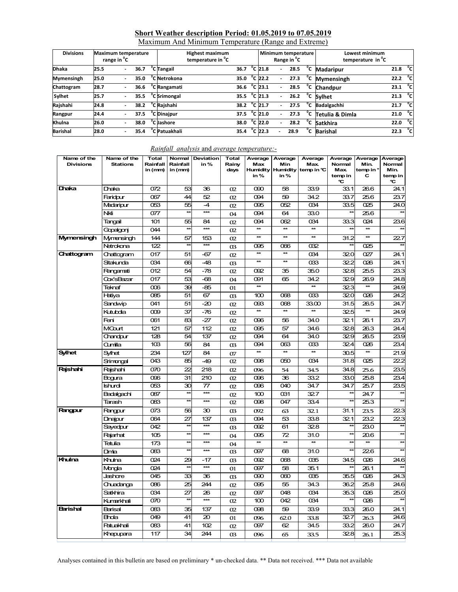### **Short Weather description Period: 01.05.2019 to 07.05.2019**

Maximum And Minimum Temperature (Range and Extreme)

| <b>Divisions</b> | <b>Maximum temperature</b><br>range in <sup>o</sup> C |  |      | <b>Highest maximum</b><br>temperature in <sup>o</sup> C |                        |  |                   | Range in <sup>"</sup> C  | Minimum temperature |              | Lowest minimum<br>temperature in C |                       |              |
|------------------|-------------------------------------------------------|--|------|---------------------------------------------------------|------------------------|--|-------------------|--------------------------|---------------------|--------------|------------------------------------|-----------------------|--------------|
| <b>Dhaka</b>     | 25.5                                                  |  | 36.7 | <sup>o</sup> C Tangail                                  | 36.7                   |  | $^{\circ}$ C 21.8 | $\overline{\phantom{a}}$ | 28.5                | °c           | <b>Madaripur</b>                   | 21.8 $^{\circ}$ C     |              |
| Mymensingh       | 25.0                                                  |  | 35.0 | <sup>o</sup> C Netrokona                                | 35.0                   |  | $^{\circ}$ C 22.2 |                          | 27.3                | °c           | <b>Mymensingh</b>                  | $22.2$ <sup>o</sup> C |              |
| Chattogram       | 28.7                                                  |  | 36.6 | <sup>o</sup> C Rangamati                                | 36.6                   |  | $^{\circ}$ C 23.1 | $\overline{\phantom{0}}$ | 28.5                | °c           | <b>Chandpur</b>                    | 23.1 $^{\circ}$ C     |              |
| Sylhet           | 25.7                                                  |  | 35.5 | <sup>o</sup> C Srimongal                                | 35.5 $^{\circ}$ C 21.3 |  |                   | $\overline{\phantom{0}}$ | 26.2                | °⊂           | <b>Sylhet</b>                      | 21.3 $^{\circ}$ C     |              |
| Rajshahi         | 24.8                                                  |  | 38.2 | <sup>o</sup> C Rajshahi                                 | 38.2 $^{\circ}$ C 21.7 |  |                   |                          | 27.5                | $^{\circ}$ c | <b>Badalgachhi</b>                 | 21.7 $^{\circ}$ C     |              |
| Rangpur          | 24.4                                                  |  | 37.5 | C Dinajpur                                              | 37.5                   |  | $^{\circ}$ C 21.0 | ٠                        | 27.3                | °c           | Tetulia & Dimla                    | 21.0                  | $^{\circ}$ c |
| Khulna           | 26.0                                                  |  | 38.0 | <sup>o</sup> C Jashore                                  | 38.0                   |  | $^{\circ}$ C 22.0 |                          | 28.2                | °c           | <b>Satkhira</b>                    | $22.0\degree$ C       |              |
| <b>Barishal</b>  | 28.0                                                  |  | 35.4 | C Patuakhali                                            | 35.4                   |  | $^{\circ}$ C 22.3 |                          | 28.9                | °c           | <b>Barishal</b>                    | 22.3                  | $^{\circ}$ c |

| Name of the<br><b>Divisions</b> | Name of the<br><b>Stations</b> | <b>Total</b><br>Rainfall<br>in (mm) | Rainfall<br>in (mm) | Normal Deviation<br>in $%$ | <b>Total</b><br>Rainy<br>days | Average<br>Max<br>in% | Average<br>Min<br><b>Humidity Humidity</b><br>in % | Average<br><b>Max</b><br>temp in ℃ | Average<br>Normal<br><b>Max</b><br>temp in<br>℃ | Average<br>Min.<br>temp in $\degree$<br>С | Average<br>Normal<br>Min.<br>temp in<br>℃ |
|---------------------------------|--------------------------------|-------------------------------------|---------------------|----------------------------|-------------------------------|-----------------------|----------------------------------------------------|------------------------------------|-------------------------------------------------|-------------------------------------------|-------------------------------------------|
| Dhaka                           | Draka                          | 072                                 | 53                  | 36                         | 02                            | 090                   | 58                                                 | 33.9                               | 33.1                                            | 26.6                                      | 24.1                                      |
|                                 | Faridpur                       | 067                                 | 44                  | 52                         | 02                            | 094                   | 59                                                 | 34.2                               | 33.7                                            | 25.6                                      | 23.7                                      |
|                                 | Madaripur                      | 053                                 | 55                  | $-4$                       | 02                            | 095                   | 052                                                | 034                                | 33.5                                            | 025                                       | 24.0                                      |
|                                 | Nkli                           | 077                                 | $\star\star$        | $***$                      | 04                            | 094                   | 64                                                 | 33.0                               |                                                 | 25.6                                      |                                           |
|                                 | Tangail                        | 101                                 | 55                  | 84                         | 02                            | 094                   | 062                                                | 034                                | 33.3                                            | 024                                       | 23.6                                      |
|                                 | Gopalgonj                      | 044                                 | $\star$             | ***                        | 02                            | $\star\star$          | $\star\star$                                       | $\star\star$                       |                                                 | $\star\star$                              |                                           |
| Mymensingh                      | Mymensingh                     | 144                                 | 57                  | 153                        | 02                            | $\star\star$          | $**$                                               | $**$                               | 31.2                                            | $**$                                      | 227                                       |
|                                 | Netrokona                      | 122                                 | $\star$             | $***$                      | <sub>03</sub>                 | 095                   | 066                                                | 032                                |                                                 | 025                                       |                                           |
| Chattogram                      | Chattogram                     | 017                                 | 51                  | -67                        | 02                            | $\star\star$          | $\star\star$                                       | 034                                | 320                                             | 027                                       | 24.1                                      |
|                                 | Sitakunda                      | 034                                 | 66                  | $-48$                      | œ                             | $\star\star$          | $\star\star$                                       | $\alpha$ 33                        | 32.2                                            | 026                                       | 24.1                                      |
|                                 | Rangamati                      | 012                                 | 54                  | $-78$                      | 02                            | 092                   | 35                                                 | 35.0                               | 328                                             | 25.5                                      | 23.3                                      |
|                                 | Cox'sBazar                     | 017                                 | 53                  | -68                        | 04                            | 091                   | 65                                                 | 34.2                               | 32.9                                            | 26.9                                      | 24.8                                      |
|                                 | Teknaf                         | $\infty$                            | 39                  | -85                        | 01                            | $\star\star$          |                                                    | $**$                               | 323                                             | $\star\star$                              | 24.9                                      |
|                                 | Hatiya                         | 085                                 | 51                  | 67                         | <sub>03</sub>                 | 100                   | 068                                                | $\alpha$ 33                        | 320                                             | 026                                       | 24.2                                      |
|                                 | Sandwip                        | 041                                 | 51                  | -20                        | 02                            | 093                   | 068                                                | 33.00                              | 31.5                                            | 26.5                                      | 24.7                                      |
|                                 | Kutubdia                       | 009                                 | 37                  | $-76$                      | 02                            | $\star\star$          | $\star\star$                                       | $\star\star$                       | 325                                             | ₩                                         | 24.9                                      |
|                                 | Feni                           | 061                                 | 83                  | $-27$                      | 02                            | 096                   | 56                                                 | 34.0                               | 32.1                                            | 26.1                                      | 23.7                                      |
|                                 | <b>MGart</b>                   | 121                                 | 57                  | 112                        | 02                            | 095                   | 57                                                 | 34.6                               | 32.8                                            | 26.3                                      | 24.4                                      |
|                                 | Chandpur                       | 128                                 | 54                  | 137                        | 02                            | 094                   | 64                                                 | 34.0                               | 329                                             | 26.5                                      | 23.9                                      |
|                                 | Qmilla                         | 10 <sub>3</sub>                     | 56                  | 84                         | O <sub>3</sub>                | 094                   | 063                                                | 033                                | 324                                             | 026                                       | $\overline{23.4}$                         |
| <b>Sylhet</b>                   | Sylhet                         | 234                                 | 127                 | 84                         | 07                            | $\star\star$          | $\star\star$                                       | $\star\star$                       | 30.5                                            | $\star\star$                              | 21.9                                      |
|                                 | Srimongal                      | 043                                 | 85                  | $-49$                      | 02                            | 098                   | 050                                                | 034                                | 31.8                                            | 025                                       | 22.2                                      |
| Rajshahi                        | Rajshahi                       | 070                                 | $\overline{22}$     | 218                        | 02                            | 096                   | 54                                                 | 34.5                               | 34.8                                            | 25.6                                      | 23.5                                      |
|                                 | Bogura                         | 096                                 | 31                  | 210                        | 02                            | 096                   | 36                                                 | 33.2                               | 33.0                                            | 25.8                                      | 23.4                                      |
|                                 | Ishurdi                        | 053                                 | 30                  | 77                         | 02                            | 096                   | 040                                                | 34.7                               | 34.7                                            | 25.7                                      | 23.5                                      |
|                                 | Badalgachi                     | 087                                 | $\star$             | ***                        | 02                            | 100                   | 031                                                | 327                                |                                                 | 24.7                                      | $\star$                                   |
|                                 | Tarash                         | 083                                 | t                   | $***$                      | 02                            | 098                   | 047                                                | 33.4                               | t                                               | 25.3                                      | $\overline{\phantom{a}}$                  |
| Rangpur                         | Rangpur                        | 073                                 | 56                  | 30                         | 03                            | 092                   | 63                                                 | 32.1                               | 31.1                                            | 23.5                                      | 223                                       |
|                                 | Dinajpur                       | 064                                 | 27                  | 137                        | $\alpha$                      | 094                   | 53                                                 | 33.8                               | 321                                             | 23.2                                      | 223                                       |
|                                 | Sayedpur                       | 042                                 | $\star$             | ***                        | <sub>03</sub>                 | 092                   | 61                                                 | 32.8                               | $\star\star$                                    | 23.0                                      |                                           |
|                                 | Rajarhat                       | 105                                 | $\star$             | ***                        | 04                            | 095                   | 72                                                 | 31.0                               | $\star$                                         | 20.6                                      | $\star\star$                              |
|                                 | <b>Tetulia</b>                 | 173                                 | 夶                   | $***$                      | 04                            | $\star\star$          | $\star\star$                                       | $*$                                | $\overline{\mathbf{r}}$                         | ₩                                         |                                           |
|                                 | Dinta                          | 083                                 | 力                   | ***                        | $\alpha$                      | 097                   | 68                                                 | 31.0                               |                                                 | 226                                       |                                           |
| Khulna                          | Khulna                         | 024                                 | 29                  | -17                        | <sub>03</sub>                 | 092                   | 068                                                | 035                                | 34.5                                            | 026                                       | 24.6                                      |
|                                 | Mongla                         | 024                                 | $\star$             | $***$                      | 01                            | 097                   | 58                                                 | 35.1                               |                                                 | 26.1                                      |                                           |
|                                 | Jashore                        | 045                                 | 33                  | 36                         | O <sub>3</sub>                | 090                   | œω                                                 | 035                                | 35.5                                            | 026                                       | 24.3                                      |
|                                 | Chuadanga                      | 086                                 | 25                  | 244                        | 02                            | 095                   | 55                                                 | 34.3                               | 36.2                                            | 25.8                                      | 24.6                                      |
|                                 | Satkhira                       | 034                                 | 27                  | 26                         | 02                            | 097                   | 048                                                | 034                                | 35.3                                            | 026                                       | 25.0                                      |
|                                 | Kumarkhali                     | $\overline{070}$                    | ł                   | $***$                      | 02                            | $\overline{6}$        | $\overline{8}$                                     | $\overline{034}$                   |                                                 | $\overline{\infty}$                       |                                           |
| <b>Barishal</b>                 | Barisal                        | 083                                 | 35                  | 137                        | 02                            | 098                   | 59                                                 | 33.9                               | 33.3                                            | 26.0                                      | 24.1                                      |
|                                 | <b>Bhola</b>                   | 049                                 | 41                  | 20                         | 01                            | 096                   | 62.0                                               | 33.8                               | 327                                             | 26.3                                      | 24.6                                      |
|                                 | <b>Patuakhali</b>              | 083                                 | 41                  | 102                        | 02                            | 097                   | 62                                                 | 34.5                               | 33.2                                            | 26.0                                      | 24.7                                      |
|                                 | Khepupara                      | 117                                 | 34                  | 244                        | <sub>03</sub>                 | 096                   | 65                                                 | 33.5                               | 328                                             | 26.1                                      | 25.3                                      |

#### *Rainfall analysis* and *average temperature:-*

Analyses contained in this bulletin are based on preliminary \* un-checked data. \*\* Data not received. \*\*\* Data not available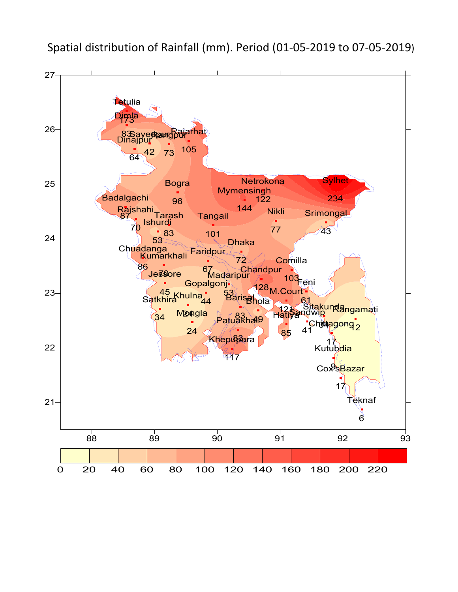

Spatial distribution of Rainfall (mm). Period (01-05-2019 to 07-05-2019)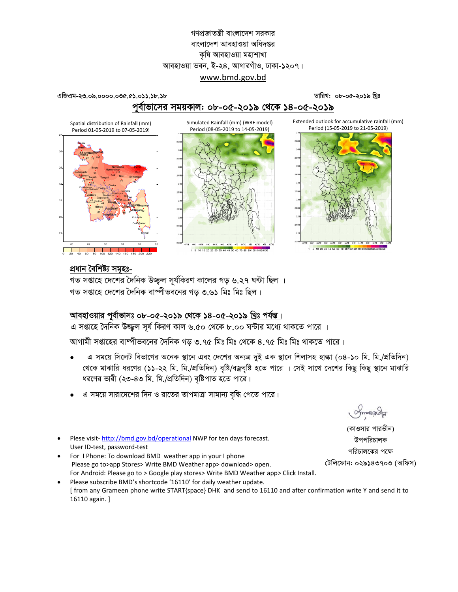## গণপ্রজাতন্ত্রী বাংলাদেশ সরকার বাংলাদেশ আবহাওয়া অধিদপ্তর কষি আবহাওয়া মহাশাখা আবহাওয়া ভবন, ই-২৪, আগারগাঁও, ঢাকা-১২০৭। www.bmd.gov.bd

#### তারিখ: ০৮-০৫-২০১৯ খ্রিঃ

## পূর্বাভাসের সময়কাল: ০৮-০৫-২০১৯ থেকে ১৪-০৫-২০১৯

Simulated Rainfall (mm) (WRF model)

Period (08-05-2019 to 14-05-2019)

es.<br>1926 32.Se 326 32.Fe 31.e 30.Se 30.E 92.Se 32.Se 32.Se

5 10 15 20 25 30 35 40 45 50 60 70 80 90 1001101201

Extended outlook for accumulative rainfall (mm) Period (15-05-2019 to 21-05-2019)



Spatial distribution of Rainfall (mm) Period 01-05-2019 to 07-05-2019)

এজিএম-২৩.০৯.০০০০.০৩৫.৫১.০১১.১৮.১৮



প্ৰধান বৈশিষ্ট্য সমহঃ-

গত সপ্তাহে দেশের দৈনিক উজ্জল সূর্যকিরণ কালের গড় ৬.২৭ ঘন্টা ছিল । গত সপ্তাহে দেশের দৈনিক বাষ্পীভবনের গড় ৩.৬১ মিঃ মিঃ ছিল।

## আবহাওয়ার পূর্বাভাসঃ ০৮-০৫-২০১৯ থেকে ১৪-০৫-২০১৯ খ্রিঃ পর্যন্ত।

এ সপ্তাহে দৈনিক উজ্জল সূর্য কিরণ কাল ৬.৫০ থেকে ৮.০০ ঘন্টার মধ্যে থাকতে পারে ।

আগামী সপ্তাহের বাম্পীভবনের দৈনিক গড় ৩.৭৫ মিঃ মিঃ থেকে ৪.৭৫ মিঃ মিঃ থাকতে পারে।

- এ সময়ে সিলেট বিভাগের অনেক স্থানে এবং দেশের অন্যত্র দুই এক স্থানে শিলাসহ হাল্কা (০৪-১০ মি. মি./প্রতিদিন) থেকে মাঝারি ধরণের (১১-২২ মি. মি./প্রতিদিন) বৃষ্টি/বজ্রবৃষ্টি হতে পারে । সেই সাথে দেশের কিছু কিছু স্থানে মাঝারি ধরণের ভারী (২৩-৪৩ মি. মি./প্রতিদিন) বৃষ্টিপাত হতে পারে।
- এ সময়ে সারাদেশের দিন ও রাতের তাপমাত্রা সামান্য বৃদ্ধি পেতে পারে।
- Plese visit-http://bmd.gov.bd/operational NWP for ten days forecast. User ID-test, password-test
- For I Phone: To download BMD weather app in your I phone Please go to>app Stores> Write BMD Weather app> download> open. For Android: Please go to > Google play stores> Write BMD Weather app> Click Install.
- Please subscribe BMD's shortcode '16110' for daily weather update. [from any Grameen phone write START{space} DHK and send to 16110 and after confirmation write Y and send it to 16110 again. ]

Smanacla

(কাওসার পারভীন) উপপরিচালক পরিচালকের পক্ষে টেলিফোন: ০২৯১৪৩৭০৩ (অফিস)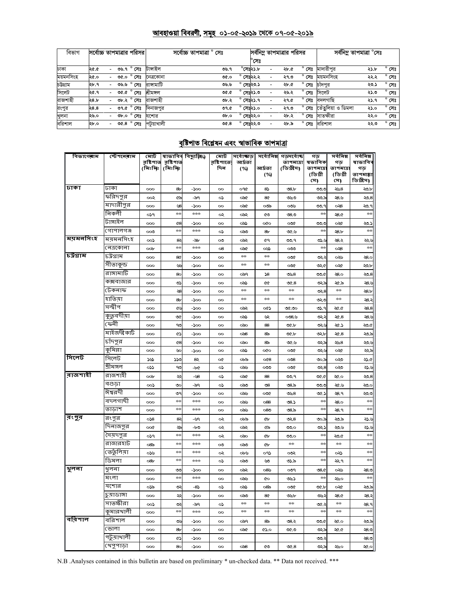### <u>আবহাওয়া বিবরণী, সমূহ ০১-০৫-২০১৯ থেকে ০৭-০৫-২০১৯</u>

| বিভাগ     | সর্বোচ্চ তাপমাত্রার পরিসর। |      |                          |            | সৰ্বোচ্চ তাপমাত্ৰা "<br>সেঃ |      |  | সর্বনিম্ন তাপমাত্রার পরিসর |                          |      |                | সৰ্বনিম তাপমাত্ৰা °সেঃ |      |                |
|-----------|----------------------------|------|--------------------------|------------|-----------------------------|------|--|----------------------------|--------------------------|------|----------------|------------------------|------|----------------|
|           |                            |      |                          |            |                             |      |  | $^{\circ}$ সেঃ             |                          |      |                |                        |      |                |
| ঢাকা      | ১.১২                       |      | ৩৬.৭ ° সেঃ               | টাসাইল     |                             | ৩৬.৭ |  | °সেঃ২১.৮                   |                          | ২৮.৫ | সেঃ            | মাদারীপর               | ২১.৮ | $^{\circ}$ সেঃ |
| ময়মনসিংহ | ২৫.০                       | 0.90 | $^{\circ}$ সেঃ           | নেত্ৰকোনা  |                             | 0.00 |  | সেঃ২২.২                    |                          | ২৭.৩ | সেঃ            | ময়মনসিংহ              | ২২.২ | $^{\circ}$ সেঃ |
| চউগ্ৰাম   | ২৮.৭                       | ৩৬৬  | $^{\circ}$ সেঃ           | রাসামাটি   |                             | ৩৬৬  |  | সেঃ২৩.১                    |                          | ২৮.৫ | সেঃ            | চাঁদপুর                | ২৩.১ | $^{\circ}$ সেঃ |
| সিলেট     | ২৫.৭                       |      | ৩৫.৫ ° সেঃ               | শ্ৰীমঙ্গল  |                             | 9.90 |  | সেঃ২১.৩                    |                          | ২৬.২ | $^{\circ}$ সেঃ | সিলেট                  | ২১.৩ | $^{\circ}$ সেঃ |
| রাজশাহী   | 28.5                       |      | ৩৮.২° সেঃ                | রাজশাহী    |                             | ৩৮.২ |  | লেঃ২১.৭                    | $\overline{\phantom{0}}$ | ২৭.৫ | $^{\circ}$ সেঃ | বদলগাছি                | ২১.৭ | $^{\circ}$ সেঃ |
| রংপুর     | ২৪.৪                       |      | ৩৭.৫ $\,$ $^{\circ}$ সেঃ | দিনাজপুর   |                             | ৩৭.৫ |  | সেঃ২১.০                    |                          | ২৭.৩ | সেঃ            | তেঁতুলিয়া ও ডিমলা     | ২১.০ | $^{\circ}$ সেঃ |
| খুলনা     | ২৬.০                       | ৩৮.০ | $^{\circ}$ সেঃ           | যশোর       |                             | ob.o |  | $^{\circ}$ সেঃ২২.০         |                          | ২৮.২ | $\circ$<br>সেঃ | সাতক্ষীরা              | ২২.০ | $^{\circ}$ সেঃ |
| বরিশাল    | ২৮.০                       |      | ত $6.8^\circ$ সেঃ        | পটুয়াখালী |                             | 06.8 |  | সেঃ২২.৩                    |                          | ২৮.৯ | $^{\circ}$ সেঃ | বরিশাল                 | ২২.৩ | $^{\circ}$ সেঃ |

# <u>বৃষ্টিপাত বিশ্লেষন এবং স্বাভাবিক তাপমাত্রা</u>

| বিভাগেৰাম | স্টেশনেৰাম  | মোট      | রষ্টিপাত্ত রষ্টিপাত্ত | ৰাভাবিৰ বিছ্যুক্তি⁄) | মোট<br>রষ্টিশাতে | আৰ্দ্ৰতা | সৰ্বোজ্ঞত  সৰ্বোনিম্ন | গডসৰ্বোচ্চ<br>তাপমাত্রা | গড<br>ষভাবিক                | সৰ্বনিম্ন<br>গড            | সৰ্বনিম্ন<br>ষাভাবিব         |
|-----------|-------------|----------|-----------------------|----------------------|------------------|----------|-----------------------|-------------------------|-----------------------------|----------------------------|------------------------------|
|           |             | (মিঃমিঃ  | (মিঃমিঃ               |                      | দিন              | (%)      | আৰ্দ্ৰতা<br>(%)       | (ডিগ্রীস)               | তাপমাত্রা<br>(ডিগ্ৰী<br>সে) | তাপমাত্র<br>(ডিগ্ৰী<br>সে) | গড়<br>তাপমাল্লা<br>ডিগ্রীস) |
| ঢাকা      | ঢাকা        | 000      | 8 <sub>r</sub>        | $-500$               | oo               | OPO      | 85                    | @8.5                    | ಀಀ                          | ২৬৪                        | ২০৮                          |
|           | ফরিদপুর     | ००२      | ৫৯                    | -৯৭                  | ০১               | ০৯৫      | 80                    | ৩৬৩                     | ು.ಎ                         | ২৪.৬                       | ২০.৪                         |
|           | মাদারীপুর   | 000      | ৬৪                    | -200                 | 00               | ০৯৫      | ಯ                     | ಯಿ                      | ৩৩.৭                        | ు8                         | ২৩.৭                         |
|           | নিকলী       | ০১৭      | $\star$               | ***                  | ∾                | ০৯২      | ৫৩                    | ೦8.೦                    | $*$                         | <b>28.0</b>                | $*$                          |
|           | টাঙ্গাইল    | 000      | $^{68}$               | -১০০                 | $\infty$         | ంప       | oto                   | ಯೋ                      | ಅಂ                          | ০২৫                        | ২৩.১                         |
|           | গোপালগঞ্জ   | ೲ        | $\star$               | ***                  | ০১               | ಂನಿಂ     | 86                    | ৩৫.৬                    | $\star$                     | $-8.5$                     | $\star$                      |
| ময়মনসিংহ | ময়মনসিংহ   | $\infty$ | 82                    | -প্লু                | ೲ                | ಾನಿ      | ৫৭                    | ৩৩.৭                    | ی دی                        | ২৪.২                       | يوي                          |
|           | নেত্ৰকোনা   | oob      | $\star$               | $***$                | 08               | ಂನ       | ০৬১                   | ಯಿ                      | $*$                         | ు8                         | $**$                         |
| চউগ্ৰাম   | ঢট্ৰগ্ৰাম   | 000      | 8¢                    | -200                 | $\infty$         | $+ +$    | $\pm\pm$              | ಯೋ                      | ುು                          | ০২৬                        | <b>28.0</b>                  |
|           | সীতাকুন্ড   | 000      | وايي                  | -১০০                 | $\infty$         | $**$     | $\pm\pm$              | ಯೋ                      | ৩২৫                         | ০২৫                        | ২০.৮                         |
|           | রাঙ্গামাটি  | 000      | 80                    | $-\infty$            | $\infty$         | ০৯৭      | 58                    | ৩৬৪                     | ৩৩.৫                        | ہ8.0                       | 5.8                          |
|           | কক্সবাজার   | 000      | ৩১                    | -১০০                 | $\infty$         | ంప       | ¢¢                    | œ.8                     | ಲು                          | ২৫.৯                       | <b>28</b> .4                 |
|           | টেকনাফ      | 000      | -28                   | -200                 | 00               | $**$     | $**$                  | $\star$                 | లు, $8$                     | $+ +$                      | 28b                          |
|           | হাতিয়া     | 000      | 8 <sub>b</sub>        | -200                 | $\infty$         | $**$     | **                    | $\star$                 | ುು                          | **                         | : 28                         |
|           | সন্দ্বীপ    | 000      | ৫৬                    | -১০০                 | $\infty$         | ০৯২      | ০৫১                   | $\infty$ .              | ৩১.৭                        | -20.0                      | ی88                          |
|           | কুতুবদীয়া  | 000      | ৩৫                    | -১০০                 | $\infty$         | ంప       | بى                    | 0.36                    | ುು                          | ২৫.৪                       | €.                           |
|           | ফেনী        | 000      | ೪                     | -১০০                 | $\infty$         | ಂಎಂ      | 88                    | ৩৫.৮                    | مصرو                        | ২৫.১                       | ২০.৫                         |
|           | মাইজদীকাটি  | 000      | ৫১                    | -১০০                 | 00               | ಂತಿ      | &                     | ৩৫.৮                    | ৩২.৮                        | $\mathcal{A}$ .8           | ২৩.৯                         |
|           | চাঁদপুর     | 000      | $^{68}$               | $-\infty$            | oo               | ంవం      | &                     | ৩৫.৬                    | ৩২৯                         | ২৬৪                        | ي وج                         |
|           | কৃমিল্লা    | 000      | ৬০                    | -১০০                 | $\infty$         | ంప       | oto                   | ಯೋ                      | مصرو                        | ০২৫                        | ২২৯                          |
| সিলেট     | সিলেট       | نتلا     | ১১৩                   | 82                   | o¢               | ০৮৯      | O(8)                  | $\infty$ 8              | ৩০.৯                        | యి                         | ২১.৫                         |
|           | শ্ৰীমঙ্গল   | ০১১      | ೪                     | -b¢                  | ০১               | ಂನು      | ಯಿ                    | ಯೋ                      | $\infty$ 8                  | ০২৩                        | تا دین                       |
| রাজশাহী   | রাজশাহী     | $\infty$ | ≫                     | -98                  | ০১               | ০৯৫      | 88                    | ৩৩.৭                    | ৩৫.৫                        | ২৫.০                       | 32.8                         |
|           | বগুডা       | ००১      | ৩০                    | -৯৭                  | ০১               | ಂನಿಂ     | ৩৪                    | ৩৪.৯                    | ಉ                           | ২৫.৬                       | ২৩.০                         |
|           | ঈশ্বরদী     | 000      | ৩৭                    | -১০০                 | 00               | ಂನು      | ∞∞                    | ৩৬৪                     | ৩৫.১                        | ২৪.৭                       | ২৩.৩                         |
|           | বদলগাছী     | 000      | $\star$               | ***                  | $\infty$         | ಂನು      | 088                   | ৩৪.১                    | $\star$                     | ২8.০                       | $\star$                      |
|           | তাডাশ       | 000      | $*$                   | ***                  | oo               | ಂನು      | 080                   | ల8.స                    | $*$                         | ২৪.৭                       | $**$                         |
| ∣ৰংপুৰ    | রংপুর       | 058      | 82                    | -৬৭                  | ৽২               | ০৮৯      | ው                     | ৩২৪                     | ৩০.৯                        | ২৩.৯                       | ي دچ                         |
|           | দিনাজপুর    | oo¢      | ২৯                    | -৮৩                  | ৽২               | ০৯২      | ৫৯                    | ಉಂ                      | دج                          | ২৩.৬                       | تا دی                        |
|           | সৈয়দপুর    | ০১৭      | $**$                  | ***                  | ৽২               | ంవం      | ¢Ь                    | ುಂ                      | $*$                         | ২০৫                        | $**$                         |
|           | রাজারহাট    | ಂ8ಎ      | $**$                  | ***                  | $\infty$         | ಂನಿಂ     | ŒЬ                    | $**$                    | $*$                         | $\star\star$               | $**$                         |
|           | ভের্তুলিয়া | ০১৬      | $*$                   | ***                  | ০২               | ০৮৬      | ০৭১                   | ಯ                       | $*$                         | య                          | $**$                         |
|           | ডিমলা       | $-85$    | $\star$               | ***                  | ০১               | ಂನಿಂ     | ৬৩                    | ৩১.৯                    | $*$                         | ۹پ                         | $\star$                      |
| शूलना     | খুলনা       | 000      | ಀ                     | -১০০                 | $\infty$         | ০৯২      | ০৪৬                   | ಲ್                      | 08.0                        | ০২৬                        | ২৪.৩                         |
|           | মংলা        | 000      | $\star$               | ***                  | oo               | ಂನು      | ¢о                    | ৩৬১                     | $*$                         | ২৬০                        | $**$                         |
|           | যশোর        | ০১৯      | ७.                    | -82                  | ు                | ೧ನಿ      | ୦୪ର                   | oor                     | ৩৫.৮                        | ०∢∉                        | ২০.৯                         |
|           | চুয়াডাঙ্গা | 000      | چچ                    | -200                 | oo               | ಂನಿಂ     | 80                    | ৩৬৮                     | ৩৬২                         | -8.G                       | ≫8.                          |
|           | সাতক্ষীরা   | ০০১      | ಲು                    | -৯৭                  | ০১               | $**$     | $**$                  | $\ast\ast$              | ৩৫.২                        | $**$                       | ২8.৭                         |
|           | কুমারখালী   | 000      | $**$                  | ***                  | oo               | **       | $**$                  | $\ast\ast$              | $*\ast$                     | $**$                       | $**$                         |
| বরিশাল    | বরিশাল      | 000      | ৩৬                    | -200                 | oo               | ০৯৭      | &                     | ৩৪.২                    | ৩৩.৫                        | ২৫.০                       | ২০৯                          |
|           | ভোলা        | 000      | 8 <sub>b</sub>        | -200                 | $\infty$         | ০৯৫      | ৫১.০                  | ৩৫.৩                    | ಅಭ                          | ২৫.৫                       | ২৪৩                          |
|           | পটুয়াথালী  | 000      | ৫১                    | -১০০                 | oo               |          |                       |                         | ಲು                          |                            | ২৪৩                          |
|           | খেপুপাড়া   | 000      | 80                    | -১০০                 | 00               | ಂತಿ      | S                     | $\mathcal{A}.8$         | ৩২৯                         | ২৬০                        | ২৫.০                         |

N.B .Analyses contained in this bulletin are based on preliminary \* un-checked data. \*\* Data not received. \*\*\*